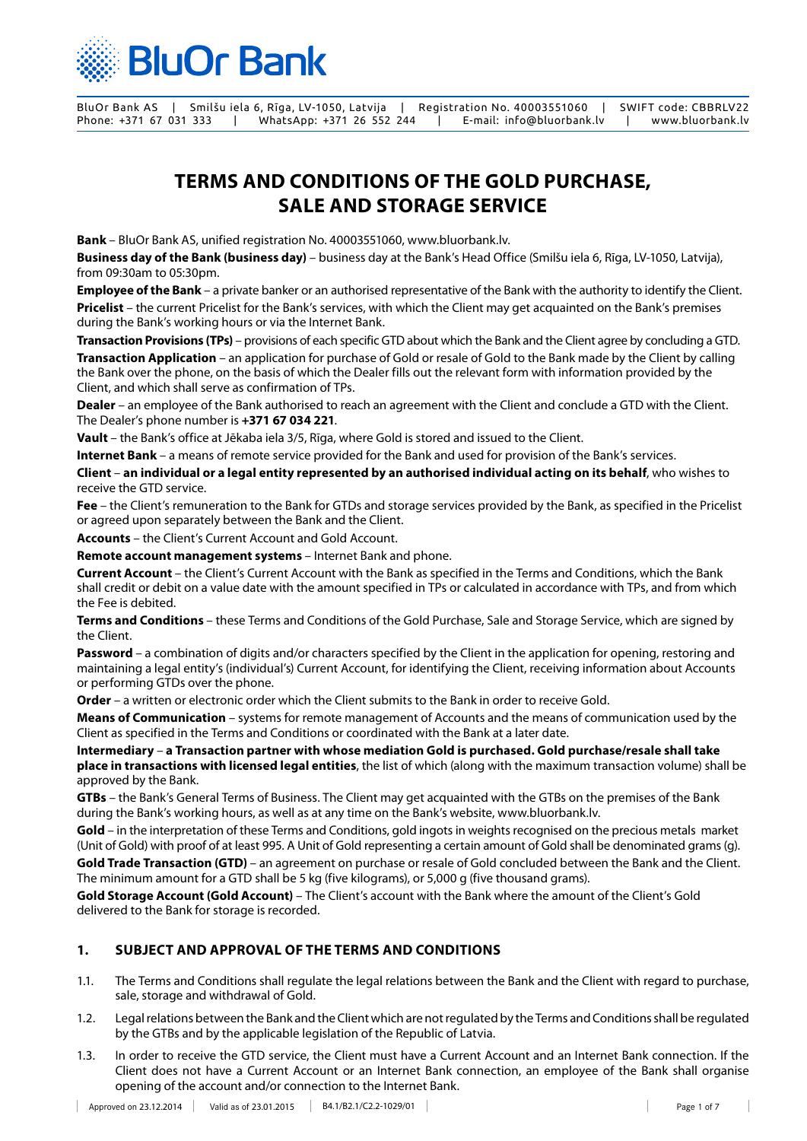

# **TERMS AND CONDITIONS OF THE GOLD PURCHASE, SALE AND STORAGE SERVICE**

**Bank** – BluOr Bank AS, unified registration No. 40003551060, www.bluorbank.lv.

**Business day of the Bank (business day)** – business day at the Bank's Head Office (Smilšu iela 6, Rīga, LV-1050, Latvija), from 09:30am to 05:30pm.

**Employee of the Bank** – a private banker or an authorised representative of the Bank with the authority to identify the Client. **Pricelist** – the current Pricelist for the Bank's services, with which the Client may get acquainted on the Bank's premises during the Bank's working hours or via the Internet Bank.

**Transaction Provisions (TPs)** – provisions of each specific GTD about which the Bank and the Client agree by concluding a GTD.

**Transaction Application** – an application for purchase of Gold or resale of Gold to the Bank made by the Client by calling the Bank over the phone, on the basis of which the Dealer fills out the relevant form with information provided by the Client, and which shall serve as confirmation of TPs.

**Dealer** – an employee of the Bank authorised to reach an agreement with the Client and conclude a GTD with the Client. The Dealer's phone number is **+371 67 034 221**.

**Vault** – the Bank's office at Jēkaba iela 3/5, Rīga, where Gold is stored and issued to the Client.

**Internet Bank** – a means of remote service provided for the Bank and used for provision of the Bank's services.

**Client** – **an individual or a legal entity represented by an authorised individual acting on its behalf**, who wishes to receive the GTD service.

**Fee** – the Client's remuneration to the Bank for GTDs and storage services provided by the Bank, as specified in the Pricelist or agreed upon separately between the Bank and the Client.

**Accounts** – the Client's Current Account and Gold Account.

**Remote account management systems** – Internet Bank and phone.

**Current Account** – the Client's Current Account with the Bank as specified in the Terms and Conditions, which the Bank shall credit or debit on a value date with the amount specified in TPs or calculated in accordance with TPs, and from which the Fee is debited.

**Terms and Conditions** – these Terms and Conditions of the Gold Purchase, Sale and Storage Service, which are signed by the Client.

**Password** – a combination of digits and/or characters specified by the Client in the application for opening, restoring and maintaining a legal entity's (individual's) Current Account, for identifying the Client, receiving information about Accounts or performing GTDs over the phone.

**Order** – a written or electronic order which the Client submits to the Bank in order to receive Gold.

**Means of Communication** – systems for remote management of Accounts and the means of communication used by the Client as specified in the Terms and Conditions or coordinated with the Bank at a later date.

**Intermediary** – **a Transaction partner with whose mediation Gold is purchased. Gold purchase/resale shall take place in transactions with licensed legal entities**, the list of which (along with the maximum transaction volume) shall be approved by the Bank.

**GTBs** – the Bank's General Terms of Business. The Client may get acquainted with the GTBs on the premises of the Bank during the Bank's working hours, as well as at any time on the Bank's website, www.bluorbank.lv.

**Gold** – in the interpretation of these Terms and Conditions, gold ingots in weights recognised on the precious metals market (Unit of Gold) with proof of at least 995. A Unit of Gold representing a certain amount of Gold shall be denominated grams (g). **Gold Trade Transaction (GTD)** – an agreement on purchase or resale of Gold concluded between the Bank and the Client. The minimum amount for a GTD shall be 5 kg (five kilograms), or 5,000 g (five thousand grams).

**Gold Storage Account (Gold Account)** – The Client's account with the Bank where the amount of the Client's Gold delivered to the Bank for storage is recorded.

# **1. SUBJECT AND APPROVAL OF THE TERMS AND CONDITIONS**

- 1.1. The Terms and Conditions shall regulate the legal relations between the Bank and the Client with regard to purchase, sale, storage and withdrawal of Gold.
- 1.2. Legal relations between the Bank and the Client which are not regulated by the Terms and Conditions shall be regulated by the GTBs and by the applicable legislation of the Republic of Latvia.
- 1.3. In order to receive the GTD service, the Client must have a Current Account and an Internet Bank connection. If the Client does not have a Current Account or an Internet Bank connection, an employee of the Bank shall organise opening of the account and/or connection to the Internet Bank.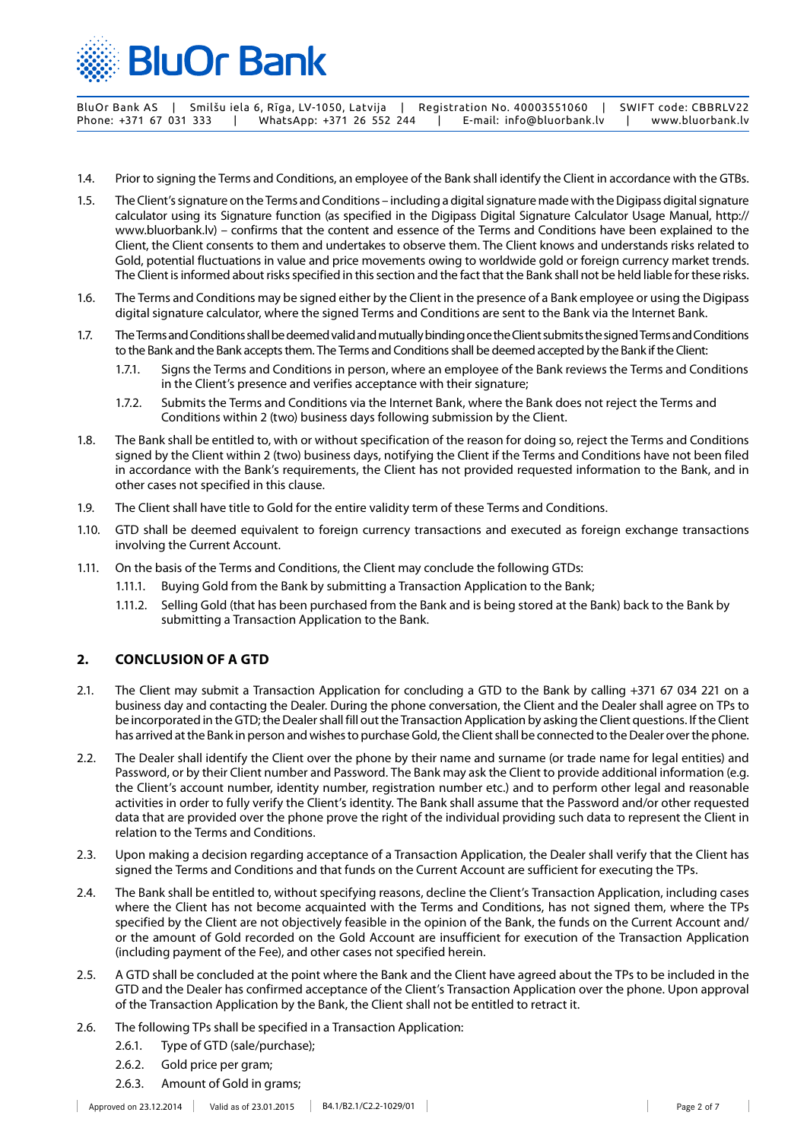

- 1.4. Prior to signing the Terms and Conditions, an employee of the Bank shall identify the Client in accordance with the GTBs.
- 1.5. The Client's signature on the Terms and Conditions including a digital signature made with the Digipass digital signature calculator using its Signature function (as specified in the Digipass Digital Signature Calculator Usage Manual, http:// www.bluorbank.lv) – confirms that the content and essence of the Terms and Conditions have been explained to the Client, the Client consents to them and undertakes to observe them. The Client knows and understands risks related to Gold, potential fluctuations in value and price movements owing to worldwide gold or foreign currency market trends. The Client is informed about risks specified in this section and the fact that the Bank shall not be held liable for these risks.
- 1.6. The Terms and Conditions may be signed either by the Client in the presence of a Bank employee or using the Digipass digital signature calculator, where the signed Terms and Conditions are sent to the Bank via the Internet Bank.
- 1.7. The Terms and Conditions shall be deemed valid and mutually binding once the Client submits the signed Terms and Conditions to the Bank and the Bank accepts them. The Terms and Conditions shall be deemed accepted by the Bank if the Client:
	- 1.7.1. Signs the Terms and Conditions in person, where an employee of the Bank reviews the Terms and Conditions in the Client's presence and verifies acceptance with their signature;
	- 1.7.2. Submits the Terms and Conditions via the Internet Bank, where the Bank does not reject the Terms and Conditions within 2 (two) business days following submission by the Client.
- 1.8. The Bank shall be entitled to, with or without specification of the reason for doing so, reject the Terms and Conditions signed by the Client within 2 (two) business days, notifying the Client if the Terms and Conditions have not been filed in accordance with the Bank's requirements, the Client has not provided requested information to the Bank, and in other cases not specified in this clause.
- 1.9. The Client shall have title to Gold for the entire validity term of these Terms and Conditions.
- 1.10. GTD shall be deemed equivalent to foreign currency transactions and executed as foreign exchange transactions involving the Current Account.
- 1.11. On the basis of the Terms and Conditions, the Client may conclude the following GTDs:
	- 1.11.1. Buying Gold from the Bank by submitting a Transaction Application to the Bank;
		- 1.11.2. Selling Gold (that has been purchased from the Bank and is being stored at the Bank) back to the Bank by submitting a Transaction Application to the Bank.

# **2. CONCLUSION OF A GTD**

- 2.1. The Client may submit a Transaction Application for concluding a GTD to the Bank by calling +371 67 034 221 on a business day and contacting the Dealer. During the phone conversation, the Client and the Dealer shall agree on TPs to be incorporated in the GTD; the Dealer shall fill out the Transaction Application by asking the Client questions. If the Client has arrived at the Bank in person and wishes to purchase Gold, the Client shall be connected to the Dealer over the phone.
- 2.2. The Dealer shall identify the Client over the phone by their name and surname (or trade name for legal entities) and Password, or by their Client number and Password. The Bank may ask the Client to provide additional information (e.g. the Client's account number, identity number, registration number etc.) and to perform other legal and reasonable activities in order to fully verify the Client's identity. The Bank shall assume that the Password and/or other requested data that are provided over the phone prove the right of the individual providing such data to represent the Client in relation to the Terms and Conditions.
- 2.3. Upon making a decision regarding acceptance of a Transaction Application, the Dealer shall verify that the Client has signed the Terms and Conditions and that funds on the Current Account are sufficient for executing the TPs.
- 2.4. The Bank shall be entitled to, without specifying reasons, decline the Client's Transaction Application, including cases where the Client has not become acquainted with the Terms and Conditions, has not signed them, where the TPs specified by the Client are not objectively feasible in the opinion of the Bank, the funds on the Current Account and/ or the amount of Gold recorded on the Gold Account are insufficient for execution of the Transaction Application (including payment of the Fee), and other cases not specified herein.
- 2.5. A GTD shall be concluded at the point where the Bank and the Client have agreed about the TPs to be included in the GTD and the Dealer has confirmed acceptance of the Client's Transaction Application over the phone. Upon approval of the Transaction Application by the Bank, the Client shall not be entitled to retract it.
- 2.6. The following TPs shall be specified in a Transaction Application:
	- 2.6.1. Type of GTD (sale/purchase);
	- 2.6.2. Gold price per gram;
	- 2.6.3. Amount of Gold in grams;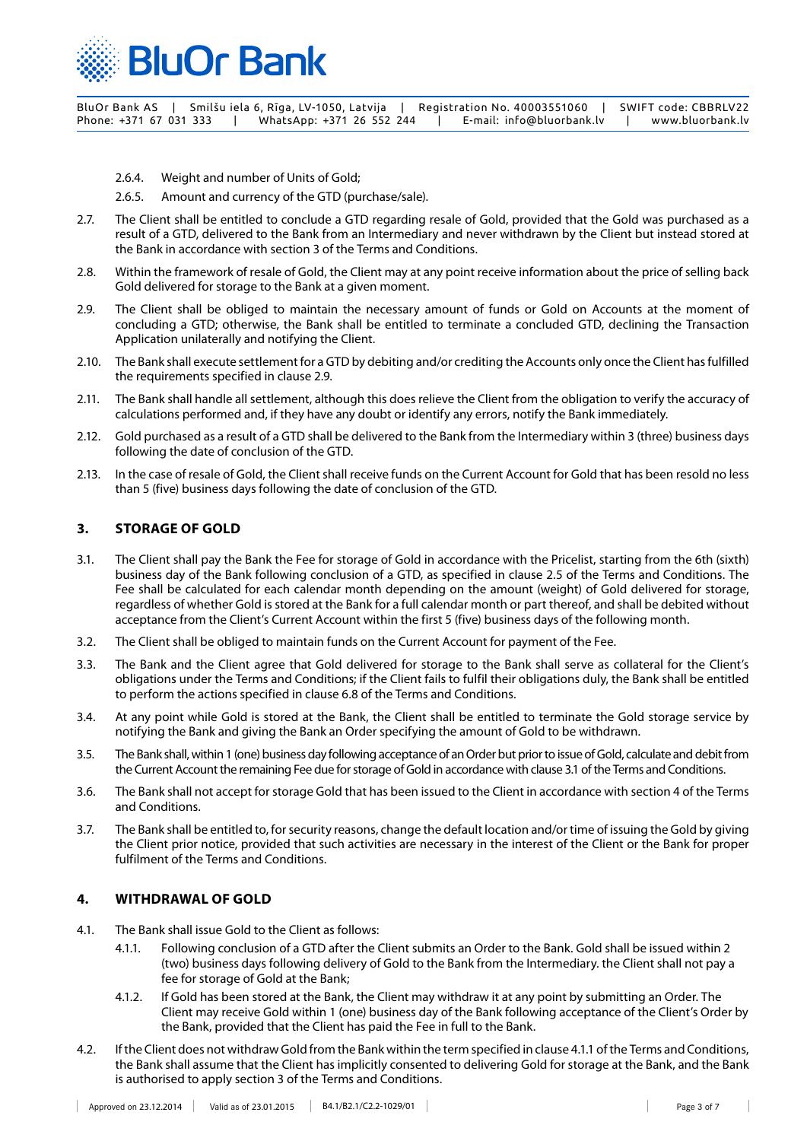

2.6.4. Weight and number of Units of Gold;

2.6.5. Amount and currency of the GTD (purchase/sale).

- 2.7. The Client shall be entitled to conclude a GTD regarding resale of Gold, provided that the Gold was purchased as a result of a GTD, delivered to the Bank from an Intermediary and never withdrawn by the Client but instead stored at the Bank in accordance with section 3 of the Terms and Conditions.
- 2.8. Within the framework of resale of Gold, the Client may at any point receive information about the price of selling back Gold delivered for storage to the Bank at a given moment.
- 2.9. The Client shall be obliged to maintain the necessary amount of funds or Gold on Accounts at the moment of concluding a GTD; otherwise, the Bank shall be entitled to terminate a concluded GTD, declining the Transaction Application unilaterally and notifying the Client.
- 2.10. The Bank shall execute settlement for a GTD by debiting and/or crediting the Accounts only once the Client has fulfilled the requirements specified in clause 2.9.
- 2.11. The Bank shall handle all settlement, although this does relieve the Client from the obligation to verify the accuracy of calculations performed and, if they have any doubt or identify any errors, notify the Bank immediately.
- 2.12. Gold purchased as a result of a GTD shall be delivered to the Bank from the Intermediary within 3 (three) business days following the date of conclusion of the GTD.
- 2.13. In the case of resale of Gold, the Client shall receive funds on the Current Account for Gold that has been resold no less than 5 (five) business days following the date of conclusion of the GTD.

#### **3. STORAGE OF GOLD**

- 3.1. The Client shall pay the Bank the Fee for storage of Gold in accordance with the Pricelist, starting from the 6th (sixth) business day of the Bank following conclusion of a GTD, as specified in clause 2.5 of the Terms and Conditions. The Fee shall be calculated for each calendar month depending on the amount (weight) of Gold delivered for storage, regardless of whether Gold is stored at the Bank for a full calendar month or part thereof, and shall be debited without acceptance from the Client's Current Account within the first 5 (five) business days of the following month.
- 3.2. The Client shall be obliged to maintain funds on the Current Account for payment of the Fee.
- 3.3. The Bank and the Client agree that Gold delivered for storage to the Bank shall serve as collateral for the Client's obligations under the Terms and Conditions; if the Client fails to fulfil their obligations duly, the Bank shall be entitled to perform the actions specified in clause 6.8 of the Terms and Conditions.
- 3.4. At any point while Gold is stored at the Bank, the Client shall be entitled to terminate the Gold storage service by notifying the Bank and giving the Bank an Order specifying the amount of Gold to be withdrawn.
- 3.5. The Bank shall, within 1 (one) business day following acceptance of an Order but prior to issue of Gold, calculate and debit from the Current Account the remaining Fee due for storage of Gold in accordance with clause 3.1 of the Terms and Conditions.
- 3.6. The Bank shall not accept for storage Gold that has been issued to the Client in accordance with section 4 of the Terms and Conditions.
- 3.7. The Bank shall be entitled to, for security reasons, change the default location and/or time of issuing the Gold by giving the Client prior notice, provided that such activities are necessary in the interest of the Client or the Bank for proper fulfilment of the Terms and Conditions.

## **4. WITHDRAWAL OF GOLD**

- 4.1. The Bank shall issue Gold to the Client as follows:
	- 4.1.1. Following conclusion of a GTD after the Client submits an Order to the Bank. Gold shall be issued within 2 (two) business days following delivery of Gold to the Bank from the Intermediary. the Client shall not pay a fee for storage of Gold at the Bank;
	- 4.1.2. If Gold has been stored at the Bank, the Client may withdraw it at any point by submitting an Order. The Client may receive Gold within 1 (one) business day of the Bank following acceptance of the Client's Order by the Bank, provided that the Client has paid the Fee in full to the Bank.
- 4.2. If the Client does not withdraw Gold from the Bank within the term specified in clause 4.1.1 of the Terms and Conditions, the Bank shall assume that the Client has implicitly consented to delivering Gold for storage at the Bank, and the Bank is authorised to apply section 3 of the Terms and Conditions.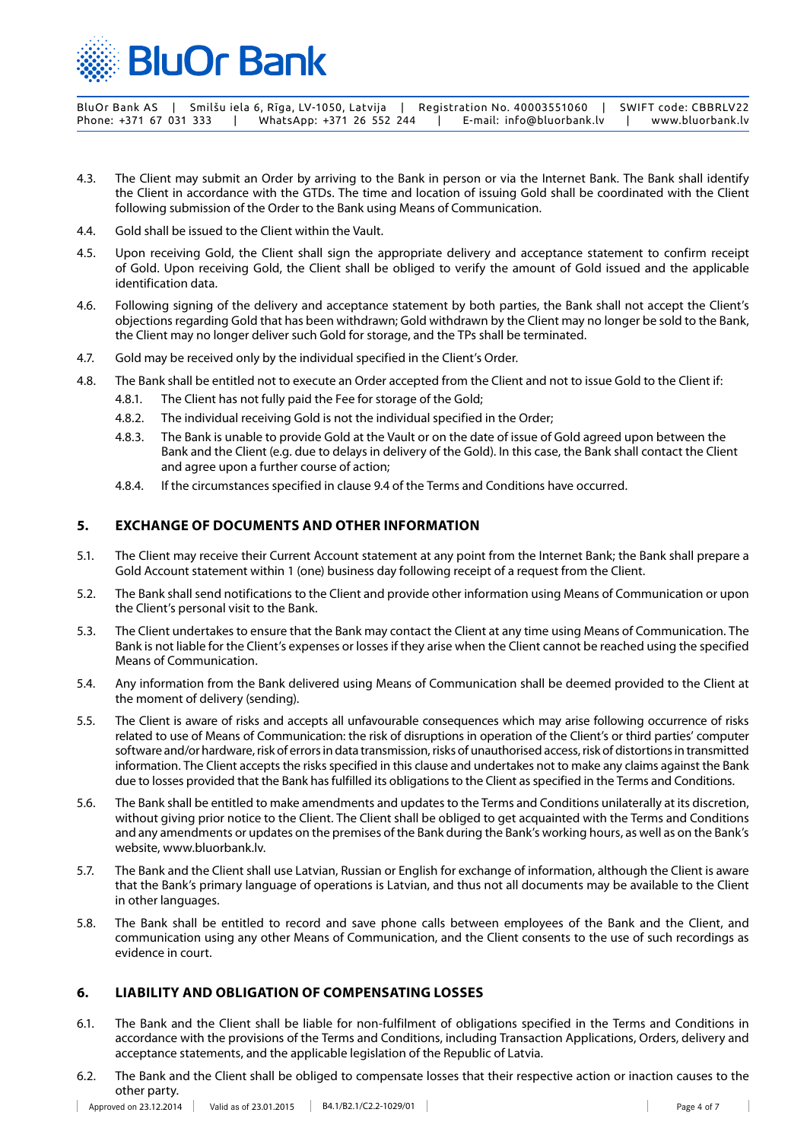

BluOr Bank AS | Smilšu iela 6, Rīga, LV-1050, Latvija | Registration No. 40003551060 | SWIFT code: CBBRLV22<br>Phone: +371 67 031 333 | WhatsApp: +371 26 552 244 | E-mail: info@bluorbank.lv | ww Phone: +371 67 031 333 | WhatsApp: +371 26 552 244 | E-mail: info@bluorbank.lv | www.bluorbank.lv

- 4.3. The Client may submit an Order by arriving to the Bank in person or via the Internet Bank. The Bank shall identify the Client in accordance with the GTDs. The time and location of issuing Gold shall be coordinated with the Client following submission of the Order to the Bank using Means of Communication.
- 4.4. Gold shall be issued to the Client within the Vault.
- 4.5. Upon receiving Gold, the Client shall sign the appropriate delivery and acceptance statement to confirm receipt of Gold. Upon receiving Gold, the Client shall be obliged to verify the amount of Gold issued and the applicable identification data.
- 4.6. Following signing of the delivery and acceptance statement by both parties, the Bank shall not accept the Client's objections regarding Gold that has been withdrawn; Gold withdrawn by the Client may no longer be sold to the Bank, the Client may no longer deliver such Gold for storage, and the TPs shall be terminated.
- 4.7. Gold may be received only by the individual specified in the Client's Order.
- 4.8. The Bank shall be entitled not to execute an Order accepted from the Client and not to issue Gold to the Client if:
	- 4.8.1. The Client has not fully paid the Fee for storage of the Gold;
	- 4.8.2. The individual receiving Gold is not the individual specified in the Order;
	- 4.8.3. The Bank is unable to provide Gold at the Vault or on the date of issue of Gold agreed upon between the Bank and the Client (e.g. due to delays in delivery of the Gold). In this case, the Bank shall contact the Client and agree upon a further course of action;
	- 4.8.4. If the circumstances specified in clause 9.4 of the Terms and Conditions have occurred.

## **5. EXCHANGE OF DOCUMENTS AND OTHER INFORMATION**

- 5.1. The Client may receive their Current Account statement at any point from the Internet Bank; the Bank shall prepare a Gold Account statement within 1 (one) business day following receipt of a request from the Client.
- 5.2. The Bank shall send notifications to the Client and provide other information using Means of Communication or upon the Client's personal visit to the Bank.
- 5.3. The Client undertakes to ensure that the Bank may contact the Client at any time using Means of Communication. The Bank is not liable for the Client's expenses or losses if they arise when the Client cannot be reached using the specified Means of Communication.
- 5.4. Any information from the Bank delivered using Means of Communication shall be deemed provided to the Client at the moment of delivery (sending).
- 5.5. The Client is aware of risks and accepts all unfavourable consequences which may arise following occurrence of risks related to use of Means of Communication: the risk of disruptions in operation of the Client's or third parties' computer software and/or hardware, risk of errors in data transmission, risks of unauthorised access, risk of distortions in transmitted information. The Client accepts the risks specified in this clause and undertakes not to make any claims against the Bank due to losses provided that the Bank has fulfilled its obligations to the Client as specified in the Terms and Conditions.
- 5.6. The Bank shall be entitled to make amendments and updates to the Terms and Conditions unilaterally at its discretion, without giving prior notice to the Client. The Client shall be obliged to get acquainted with the Terms and Conditions and any amendments or updates on the premises of the Bank during the Bank's working hours, as well as on the Bank's website, www.bluorbank.lv.
- 5.7. The Bank and the Client shall use Latvian, Russian or English for exchange of information, although the Client is aware that the Bank's primary language of operations is Latvian, and thus not all documents may be available to the Client in other languages.
- 5.8. The Bank shall be entitled to record and save phone calls between employees of the Bank and the Client, and communication using any other Means of Communication, and the Client consents to the use of such recordings as evidence in court.

## **6. LIABILITY AND OBLIGATION OF COMPENSATING LOSSES**

- 6.1. The Bank and the Client shall be liable for non-fulfilment of obligations specified in the Terms and Conditions in accordance with the provisions of the Terms and Conditions, including Transaction Applications, Orders, delivery and acceptance statements, and the applicable legislation of the Republic of Latvia.
- 6.2. The Bank and the Client shall be obliged to compensate losses that their respective action or inaction causes to the other party. $\overline{\phantom{a}}$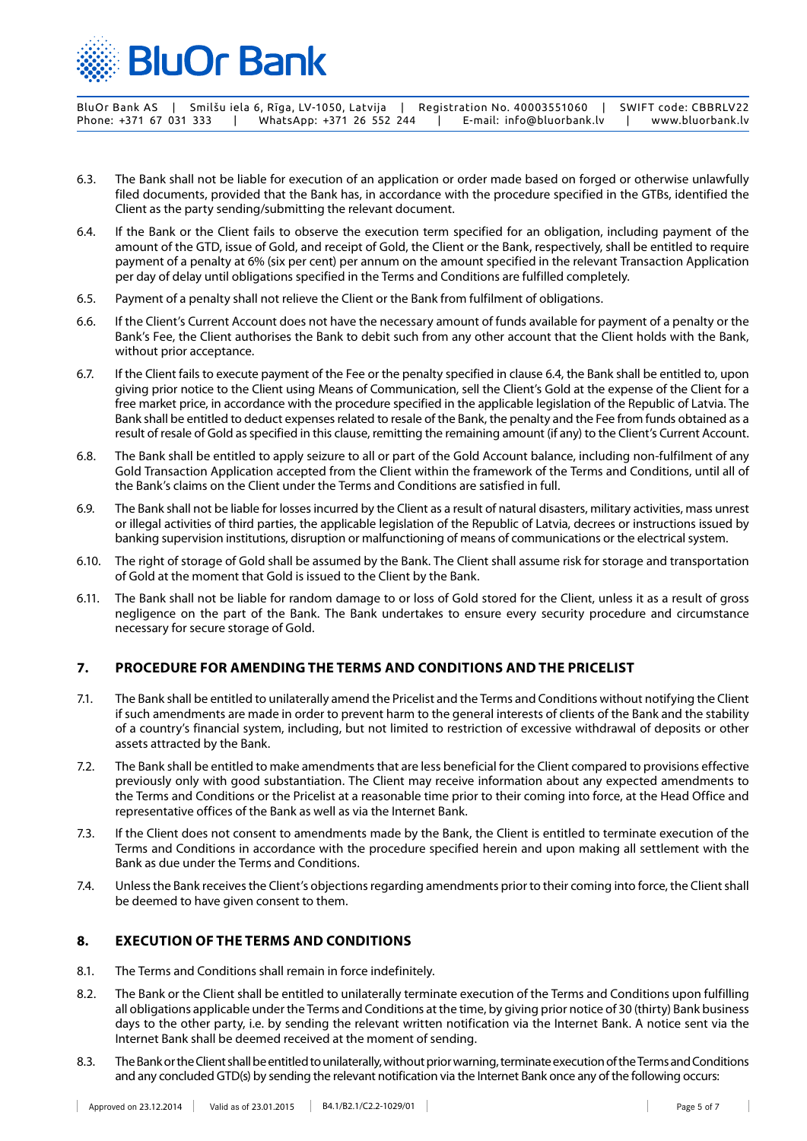

- 6.3. The Bank shall not be liable for execution of an application or order made based on forged or otherwise unlawfully filed documents, provided that the Bank has, in accordance with the procedure specified in the GTBs, identified the Client as the party sending/submitting the relevant document.
- 6.4. If the Bank or the Client fails to observe the execution term specified for an obligation, including payment of the amount of the GTD, issue of Gold, and receipt of Gold, the Client or the Bank, respectively, shall be entitled to require payment of a penalty at 6% (six per cent) per annum on the amount specified in the relevant Transaction Application per day of delay until obligations specified in the Terms and Conditions are fulfilled completely.
- 6.5. Payment of a penalty shall not relieve the Client or the Bank from fulfilment of obligations.
- 6.6. If the Client's Current Account does not have the necessary amount of funds available for payment of a penalty or the Bank's Fee, the Client authorises the Bank to debit such from any other account that the Client holds with the Bank, without prior acceptance.
- 6.7. If the Client fails to execute payment of the Fee or the penalty specified in clause 6.4, the Bank shall be entitled to, upon giving prior notice to the Client using Means of Communication, sell the Client's Gold at the expense of the Client for a free market price, in accordance with the procedure specified in the applicable legislation of the Republic of Latvia. The Bank shall be entitled to deduct expenses related to resale of the Bank, the penalty and the Fee from funds obtained as a result of resale of Gold as specified in this clause, remitting the remaining amount (if any) to the Client's Current Account.
- 6.8. The Bank shall be entitled to apply seizure to all or part of the Gold Account balance, including non-fulfilment of any Gold Transaction Application accepted from the Client within the framework of the Terms and Conditions, until all of the Bank's claims on the Client under the Terms and Conditions are satisfied in full.
- 6.9. The Bank shall not be liable for losses incurred by the Client as a result of natural disasters, military activities, mass unrest or illegal activities of third parties, the applicable legislation of the Republic of Latvia, decrees or instructions issued by banking supervision institutions, disruption or malfunctioning of means of communications or the electrical system.
- 6.10. The right of storage of Gold shall be assumed by the Bank. The Client shall assume risk for storage and transportation of Gold at the moment that Gold is issued to the Client by the Bank.
- 6.11. The Bank shall not be liable for random damage to or loss of Gold stored for the Client, unless it as a result of gross negligence on the part of the Bank. The Bank undertakes to ensure every security procedure and circumstance necessary for secure storage of Gold.

## **7. PROCEDURE FOR AMENDING THE TERMS AND CONDITIONS AND THE PRICELIST**

- 7.1. The Bank shall be entitled to unilaterally amend the Pricelist and the Terms and Conditions without notifying the Client if such amendments are made in order to prevent harm to the general interests of clients of the Bank and the stability of a country's financial system, including, but not limited to restriction of excessive withdrawal of deposits or other assets attracted by the Bank.
- 7.2. The Bank shall be entitled to make amendments that are less beneficial for the Client compared to provisions effective previously only with good substantiation. The Client may receive information about any expected amendments to the Terms and Conditions or the Pricelist at a reasonable time prior to their coming into force, at the Head Office and representative offices of the Bank as well as via the Internet Bank.
- 7.3. If the Client does not consent to amendments made by the Bank, the Client is entitled to terminate execution of the Terms and Conditions in accordance with the procedure specified herein and upon making all settlement with the Bank as due under the Terms and Conditions.
- 7.4. Unless the Bank receives the Client's objections regarding amendments prior to their coming into force, the Client shall be deemed to have given consent to them.

## **8. EXECUTION OF THE TERMS AND CONDITIONS**

- 8.1. The Terms and Conditions shall remain in force indefinitely.
- 8.2. The Bank or the Client shall be entitled to unilaterally terminate execution of the Terms and Conditions upon fulfilling all obligations applicable under the Terms and Conditions at the time, by giving prior notice of 30 (thirty) Bank business days to the other party, i.e. by sending the relevant written notification via the Internet Bank. A notice sent via the Internet Bank shall be deemed received at the moment of sending.
- 8.3. The Bank or the Client shall be entitled to unilaterally, without prior warning, terminate execution of the Terms and Conditions and any concluded GTD(s) by sending the relevant notification via the Internet Bank once any of the following occurs: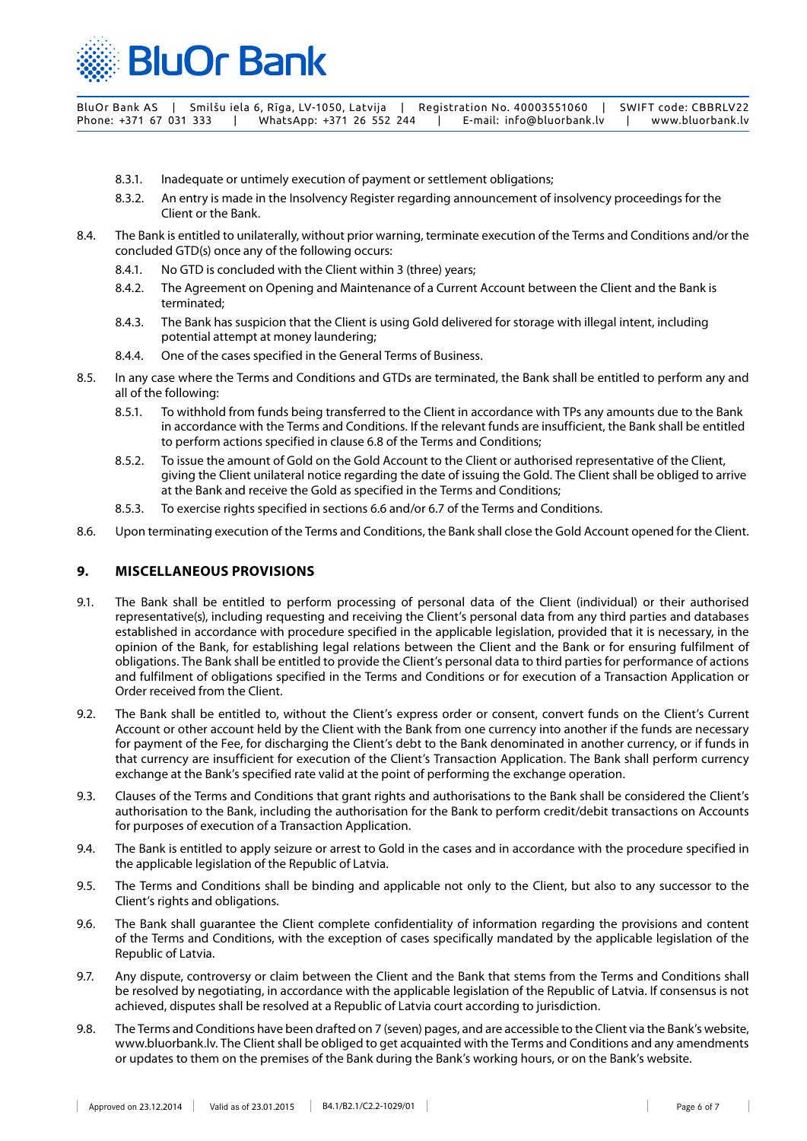

- 8.3.1. Inadequate or untimely execution of payment or settlement obligations;
- 8.3.2. An entry is made in the Insolvency Register regarding announcement of insolvency proceedings for the Client or the Bank.
- 8.4. The Bank is entitled to unilaterally, without prior warning, terminate execution of the Terms and Conditions and/or the concluded GTD(s) once any of the following occurs:
	- 8.4.1. No GTD is concluded with the Client within 3 (three) years;
	- 8.4.2. The Agreement on Opening and Maintenance of a Current Account between the Client and the Bank is terminated;
	- 8.4.3. The Bank has suspicion that the Client is using Gold delivered for storage with illegal intent, including potential attempt at money laundering;
	- 8.4.4. One of the cases specified in the General Terms of Business.
- 8.5. In any case where the Terms and Conditions and GTDs are terminated, the Bank shall be entitled to perform any and all of the following:
	- 8.5.1. To withhold from funds being transferred to the Client in accordance with TPs any amounts due to the Bank in accordance with the Terms and Conditions. If the relevant funds are insufficient, the Bank shall be entitled to perform actions specified in clause 6.8 of the Terms and Conditions;
	- 8.5.2. To issue the amount of Gold on the Gold Account to the Client or authorised representative of the Client, giving the Client unilateral notice regarding the date of issuing the Gold. The Client shall be obliged to arrive at the Bank and receive the Gold as specified in the Terms and Conditions;
	- 8.5.3. To exercise rights specified in sections 6.6 and/or 6.7 of the Terms and Conditions.
- 8.6. Upon terminating execution of the Terms and Conditions, the Bank shall close the Gold Account opened for the Client.

## **9. MISCELLANEOUS PROVISIONS**

- 9.1. The Bank shall be entitled to perform processing of personal data of the Client (individual) or their authorised representative(s), including requesting and receiving the Client's personal data from any third parties and databases established in accordance with procedure specified in the applicable legislation, provided that it is necessary, in the opinion of the Bank, for establishing legal relations between the Client and the Bank or for ensuring fulfilment of obligations. The Bank shall be entitled to provide the Client's personal data to third parties for performance of actions and fulfilment of obligations specified in the Terms and Conditions or for execution of a Transaction Application or Order received from the Client.
- 9.2. The Bank shall be entitled to, without the Client's express order or consent, convert funds on the Client's Current Account or other account held by the Client with the Bank from one currency into another if the funds are necessary for payment of the Fee, for discharging the Client's debt to the Bank denominated in another currency, or if funds in that currency are insufficient for execution of the Client's Transaction Application. The Bank shall perform currency exchange at the Bank's specified rate valid at the point of performing the exchange operation.
- 9.3. Clauses of the Terms and Conditions that grant rights and authorisations to the Bank shall be considered the Client's authorisation to the Bank, including the authorisation for the Bank to perform credit/debit transactions on Accounts for purposes of execution of a Transaction Application.
- 9.4. The Bank is entitled to apply seizure or arrest to Gold in the cases and in accordance with the procedure specified in the applicable legislation of the Republic of Latvia.
- 9.5. The Terms and Conditions shall be binding and applicable not only to the Client, but also to any successor to the Client's rights and obligations.
- 9.6. The Bank shall guarantee the Client complete confidentiality of information regarding the provisions and content of the Terms and Conditions, with the exception of cases specifically mandated by the applicable legislation of the Republic of Latvia.
- 9.7. Any dispute, controversy or claim between the Client and the Bank that stems from the Terms and Conditions shall be resolved by negotiating, in accordance with the applicable legislation of the Republic of Latvia. If consensus is not achieved, disputes shall be resolved at a Republic of Latvia court according to jurisdiction.
- 9.8. The Terms and Conditions have been drafted on 7 (seven) pages, and are accessible to the Client via the Bank's website, www.bluorbank.lv. The Client shall be obliged to get acquainted with the Terms and Conditions and any amendments or updates to them on the premises of the Bank during the Bank's working hours, or on the Bank's website.